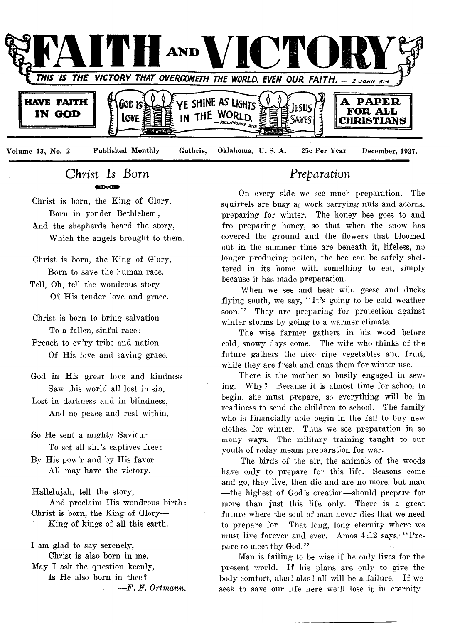

*Christ Is Born* ക്കാങ്ങി

Christ is born, the King of Glory, Born in yonder Bethlehem; And the shepherds heard the story, Which the angels brought to them.

Christ is born, the King of Glory, Born to save the human race.

- Tell, Oh, tell the wondrous story Of His tender love and grace.
- Christ is bom to bring salvation To a fallen, sinful race;
- Preach to ev'ry tribe and nation Of His love and saving grace.
- God in His great love and kindness Saw this world all lost in sin,
- Lost in darkness and in blindness, And no peace and rest within.
- iSo He sent a mighty Saviour To set all sin's captives free;
- By His pow'r and by His favor All may have the victory.

Hallelujah, tell the story, And proclaim His wondrous birth: Christ is born, the King of Glory— King of kings of all this earth.

I am glad to say serenely, Christ is also born in me. May I ask the question keenly, Is He also born in thee? — *F. F. Ortmann.*

# *Preparation*

On every side we see much preparation. The squirrels are busy at work carrying nuts and acorns, preparing for winter. The honey bee goes to and fro preparing honey, so that when the snow has covered the ground and the flowers that bloomed out in the summer time are beneath it, lifeless, no longer producing pollen, the bee can be safely sheltered in its home with something to eat, simply because it has made preparation.

When we see and hear wild geese and ducks flying south, we say, "It's going to be cold weather soon." They are preparing for protection against winter storms by going to a warmer climate.

The wise farmer gathers in his wood before cold, snowy days come. The wife who thinks of the future gathers the nice ripe vegetables and fruit, while they are fresh and cans them for winter use.

There is the mother so busily engaged in sewing. Why? Because it is almost time for school to begin, she must prepare, so everything will be in readiness to send the children to school. The family who is financially able begin in the fall to buy new clothes for winter. Thus we see preparation in so many ways. The military training taught to our youth of today means preparation for war.

The birds of the air, the animals of the woods have only to prepare for this life. Seasons come and go, they live, then die and are no more, but man — the highest of God's creation— should prepare for more than just this life only. There is a great future where the soul of man never dies that we need to prepare for. That long, long eternity where we must live forever and ever. Amos 4:12 says, "Prepare to meet thy God."

Man is failing to be wise if he only lives for the present world. If his plans are only to give the body comfort, alas! alas! all will be a failure. If we seek to save our life here we'll lose it in eternity.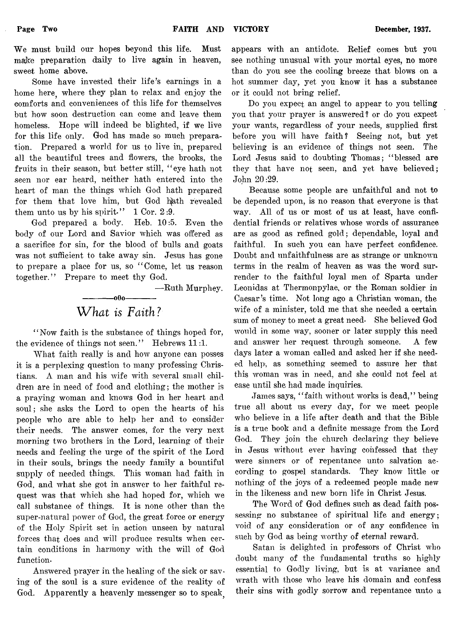We must build our hopes beyond this life. Must make preparation daily to live again in heaven, sweet home above.

Some have invested their life's earnings in a home here, where they plan to relax and enjoy the comforts and conveniences of this life for themselves but how soon destruction can come and leave them homeless. Hope will indeed be blighted, if we live for this life only. God has made so much preparation. Prepared a world for us to live in, prepared all the beautiful trees and flowers, the brooks, the fruits in their season, but better still, "eye hath not seen nor ear heard, neither hath entered into the heart of man the things which God hath prepared for them that love him, but God hath revealed them unto us by his spirit-"  $1 \text{ Cor. } 2:9$ .

God prepared a body. Heb. 10:5. Even the body of our Lord and Savior which was offered as a sacrifice for sin, for the blood of bulls and goats was not sufficient to take away sin. Jesus has gone to prepare a place for us, so " Come, let us reason together." Prepare to meet thy God.

— Ruth Murphey.

# ------------ oOo------------ What *is Faith?*

" Now faith is the substance of things hoped for, the evidence of things not seen." Hebrews 11:1.

What faith really is and how anyone can posses it is a perplexing question to many professing Christians. A man and his wife with several small children are in need of food and clothing; the mother is a praying woman and knows God in her heart and soul; she asks the Lord to open the hearts of his people who are able to help her and to consider their needs. The answer comes, for the very next morning two brothers in the Lord, learning of their needs and feeling the urge of the spirit of the Lord in their souls, brings the needy family a bountiful supply of needed things. This woman had faith in God, and what she got in answer to her faithful request was that which she had hoped for, which we call substance of things. It is none other than the super-natural power of God, the great force or energy of the Holy Spirit set in action unseen by natural forces that does and will produce results when certain conditions in harmony with the will of God function.

Answered prayer in the healing of the sick or saving of the soul is a sure evidence of the reality of God. Apparently a heavenly messenger so to speak.

appears with an antidote. Relief comes but you see nothing unusual with your mortal eyes, no more than do you see the cooling breeze that blows on a hot summer day, yet you know it has a substance or it could not bring relief.

Do you expect an angel to appear to you telling you that your prayer is answered? or do you expect your wants, regardless of your needs, supplied first before you will have faith? Seeing not, but yet believing is an evidence of things not seen. The Lord Jesus said to doubting Thomas; " blessed are they that have not seen, and yet have believed; John 20 :29.

Because, some people are unfaithful and not to be depended upon, is no reason that everyone is that way. All of us or most of us at least, have confidential friends or relatives whose words of assurance are as good as refined gold; dependable, loyal and faithful. In such you can have perfect confidence. Doubt and unfaithfulness are as strange or unknown terms in the realm of heaven as was the word surrender to the faithful loyal men of Sparta under Leonidas at Thermonpylae, or the Roman soldier in Caesar's time. Not long ago a Christian woman, the wife of a minister, told me that she needed a certain sum of money to meet a great need. She believed God would in some way, sooner or later supply this need and answer her request through someone. A few days later a woman called and asked her if she needed help, as something seemed to assure her that this woman was in need, and she could not feel at ease until she had made inquiries.

James says, "faith without works is dead," being true all about us every day, for we meet people who believe in a life after death and that the Bible is a true book and a definite message from the Lord God. They join the church declaring they believe in Jesus without ever having confessed that they were sinners or of repentance unto salvation according to gospel standards. They know little or nothing of the joys of a redeemed people made new in the likeness and new born life in Christ Jesus.

The Word of God defines such as dead faith possessing no substance of spiritual life and energy; void of any consideration or of any confidence in such by God as being worthy of eternal reward.

Satan is delighted in professors of Christ who doubt many of the fundamental truths so highly essential to Godly living, but is at variance and wrath with those who leave his domain and confess their sins with godly sorrow and repentance unto a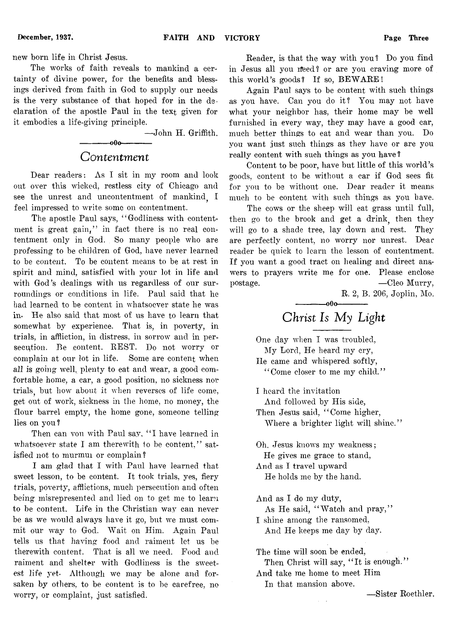new born life in Christ Jesus.

The works of faith reveals to mankind a certainty of divine power, for the benefits and blessings derived from faith in God to supply our needs is the very substance of that hoped for in the declaration of the apostle Paul in the text given for it embodies a life-giving principle.

— John H. Griffith.

# -000--*Contentment*

Dear readers: As I sit in my room and look out over this wicked, restless city of Chicago and see the unrest and uncontentment of mankind I feel impressed to write some on contentment.

The apostle Paul says, "Godliness with contentment is great gain," in fact there is no real contentment only in God. So many people who are professing to be children of God, have never learned to be content. To be content means to be at rest in spirit and mind, satisfied with your lot in life and with God's dealings with us regardless of our surroundings or conditions in life. Paul said that he had learned to be content in whatsoever state he was in- He also said that most of us have to learn that somewhat by experience. That is, in poverty, in trials, in affliction, in distress, in sorrow and in persecution. Be content. REST. Do not worry or complain at our lot in life. Some are content when *all* is going well, plenty to eat and wear, a good comfortable home, a ear, a good position, no sickness nor trials, but how about it when reverses of life come, get out of work, sickness in the home, no money, the flour barrel empty, the home gone, someone telling lies on you?

Then can vou with Paul say, "I have learned in whatsoever state I am therewith to be content," satisfied not to murmui or complain?

I am glad that I with Paul have learned that sweet lesson, to be content. It took trials, yes, fiery trials, poverty, afflictions, much persecution and often being misrepresented and lied on to get me to learn to be content. Life in the Christian way can never be as we would always have it go, but we must commit our way to God. Wait on Him. Again Paul tells us that having food and raiment let us be therewith content. That is all we need. Food and raiment and shelter with Godliness is the sweetest life yet. Although we may be alone and forsaken by others, to be content is to be carefree, no worry, or complaint, just satisfied.

Reader, is that the way with you ? Do you find in Jesus all you need? or are you craving more of this world's goods? If so, BEWARE!

Again Paul says to be content with such things as you have. Can you do it? You may not have what your neighbor has, their home may be well furnished in every way, they may have a good car, much better things to eat and wear than you. Do you want just such things as they have or are you really content with such things as you have ?

Content to be poor, have but little of this world's goods, content to be without a car if God sees fit for *you* to be without one. Dear reader it means much to be content with such things as you have.

The cows or the sheep will eat grass until full, then go to the brook and get a drink<sub>,</sub> then they will go to a shade tree, lay down and rest. They are perfectly content, no worry nor unrest. Dear reader be quick to learn the lesson of contentment. If you want a good tract on healing and direct answers to prayers write me for one. Please enclose postage. — Cleo Murry,

R. 2, B. 206, Joplin, Mo.

# $-000-$ *Christ Is My Light*

One day when I was troubled, My Lord, He heard my cry, He came and whispered softly, " Come closer to me my child."

I heard the invitation And followed by His side, Then Jesus said, "Come higher, Where a brighter light will shine."

Oh. Jesus knows my weakness; He gives me grace to stand, And as I travel upward He holds me by the hand.

And as I do my duty, As He said, "Watch and pray," I shine among the ransomed, And He keeps me day by day.

The time will soon be ended, Then Christ will say, "It is enough." And take me home to meet Him In that mansion above.

— Sister Roethler.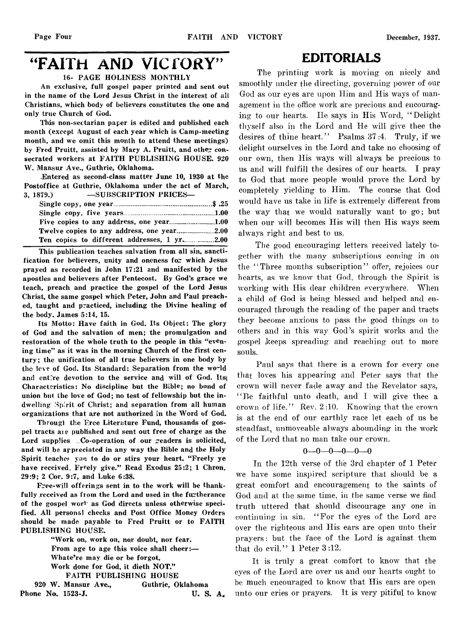# "FAITH AND VICTORY"

16- PAGE HOLINESS MONTHLY

An exclusive, full gospel paper printed and sent out in the name of the Lord Jesus Christ in the interest of all Christians, which body of believers constitutes the one and only true Church of God.

This non-sectarian paper is edited and published each month (except August of each year which is Camp-meeting month, and we omit this month to attend these meetings) by Fred Pruitt, assisted by Mary A. Pruitt, and other consecrated workers at FAITH PUBLISHING HOUSE. 920 W. Mansur Ave., Guthrie, Oklahoma.

.Entered as second-class matter June 10, 1930 at the Postoffice at Guthrie, Oklahoma under the act of March, 3, 1879.) —SUBSCRIPTION PRICES—

This publication teaches salvation from all sin, sanctification for believers, unity and oneness for which Jesus prayed as recorded in John 17:21 and manifested by the apostles and believers after Pentecost. By God's grace we teach, preach and practice the gospel of the Lord Jesus Christ, the same gospel which Peter, John and Paul preached, taught and practiced, including the Divine healing of the body. James 5:14, 15.

Its Motto: Have faith in God. Its Object: The glory of God and the salvation of men; the promulgation and restoration of the whole truth to the people in this "evening time" as it was in the morning Church of the first century; the unification of all true believers in one body by the leve of God. Its Standard: Separation from the world and entire devotion to the service and will of God. Its Characteristics: No discipline but the Bible; no bond of union but the love of God; no test of fellowship but the indwelling Spirit of Christ; and separation from all human organizations that are not authorized in the Word of God.

Tbrougi the Free Literature Fund, thousands of gospel tracts ai e published and sent out free of charge as the Lord supplies . Co-operation of our readers is solicited, and will be appreciated in any way the Bible and the Holy Spirit teaches you to do or stirs your heart. "Freely ye have received, Freely give." Read Exodus 25:2; 1 Chron. 29:9; 2 Cor. 9:7, and Luke 6:38.

Free-will offerings sent in to the work will be thankfully received as from the Lord and used in the furtherance of the gospel wor<sup>1</sup> as God directs unless otherwise specified. All personal checks and Post Office Money Orders should be made payable to Fred Pruitt or to FAITH PUBLISHING HOUSE.

"Work on, work on, nor doubt, nor fear. From age to age this voice shall cheer:— Whate're may die or be forgot, Work done for God, it dieth NOT." FAITH PUBLISHING HOUSE

920 W. Mansur Ave., Guthrie, Oklahoma Phone No. 1523-J. U.S. A.

# EDITORIALS

The printing work is moving on nicely and smoothly under the directing, governing power of our God as our eyes are upon Him and His ways of management in the office work are precious and encouraging to our hearts. He says in His Word, " Delight thyself also in the Lord and He will give thee the desires of thine heart." Psalms 37:4. Truly, if we delight ourselves in the Lord and take no choosing of our own, then His ways will always be precious to us and will fulfill the desires of our hearts. I pray to God that more people would prove the Lord by completely yielding to Him. The course that God would have us take in life is extremely different from the way that we would naturally want to go; but when our will becomes His will then His ways seem always right and best to us.

The good encouraging letters received lately together with the many subscriptions coming in on the "Three months subscription" offer, rejoices our hearts, as we know that God, through the Spirit is working with His dear children everywhere. When a child of God is being blessed and helped and encouraged through the reading of the paper and tracts they become anxious to pass the good things on to others and in this way God's spirit works and the gospel keeps spreading and reaching out to more souls.

Paul says that there is a crown for every one that loves his appearing and Peter says that the crown will never fade away and the Revelator says, " Be faithful unto death, and I will give thee a crown of life." Rev. 2:10. Knowing that the crown is at the end of our earthly race let each of us be steadfast, unmoveable always abounding in the work of the Lord that no man take our crown.

#### **0**— **0**— **0**— **0**— **0—0**

In the 12th verse of the 3rd chapter of 1 Peter we have some inspired scripture that should be a great comfort and encouragement to the saints of God and at the same time, in the same verse we find truth uttered that should discourage any one in continuing in sin. " For the eyes of the Lord are over the righteous and His ears are open unto their prayers: but the face of the Lord is against them that do evil." 1 Peter 3:12.

It is truly a great comfort to know that the eyes of the Lord are over us and our hearts ought to be much encouraged to know that His ears are open unto our cries or prayers. It is very pitiful to know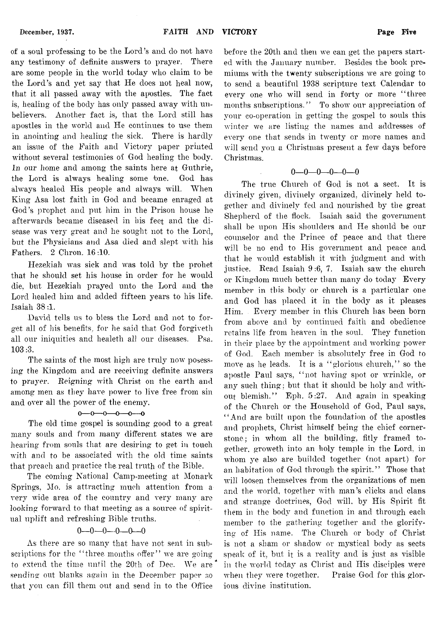of a soul professing to be the Lord's and do not have any testimony of definite answers to prayer. There are some people in the world today who claim to be the Lord's and yet say that He does not heal now, that it all passed away with the apostles. The fact is, healing of the body has only passed away with unbelievers. Another fact is, that the Lord still has apostles in the world and He continues to use them in anointing and healing the sick. There is hardly an issue of the Faith and Victory paper printed without several testimonies of God healing the body. *In our home* and among the saints here at Guthrie, the Lord is always healing some one. God has always healed His people and always will. When King Asa lost faith in God and became enraged at God's prophet and put him in the Prison house he

afterwards became diseased in his feet and the disease was very great and he sought not to the Lord, but the Physicians and Asa died and slept with his Fathers. 2 Chron. 16 :10.

llezekiah was sick and was told by the prohet. that he should set his house in order for he would die, but Hezekiah prayed unto the Lord and the Lord healed him and added fifteen years to his life. Isaiah 38 :1.

David tells us to bless the Lord and not to forget all of his benefits, for he said that God forgiveth all our iniquities and healeth all our diseases. Psa. 103 :3.

The saints of the most high are truly now posessing the Kingdom and are receiving definite answers to prayer. *Reigning* with Christ on the earth and among men as they have power to live free from sin and over all the power of the enemy.

#### $0 - 0 - 0 - 0 - 0 - 0$

The old time gospel is sounding good to a great many souls and from many different states we are hearing from souls that are desiring to get in touch with and to be associated with the old time saints that preach and practice the real truth of the Bible.

The coming National Camp-meeting at Monark Springs, Mo. is attracting much attention from a very wide area of the country and very many are looking forward to that meeting as a source of spiritual uplift and refreshing Bible truths.<br> $0-0-0-0-0-0$ 

As there are so many that have not sent in subscriptions for the "three months offer" we are going to extend the time until the 20th of Dec. We are sending out blanks again in the December paper so that you can fill them out and send in to the Office

before the 20th and then we can get the papers started with the January number. Besides the book premiums with the twenty subscriptions we are going to to send a beautiful 1938 scripture text Calendar to every one who will send in forty or more "three months subscriptions." To show our appreciation of your co-operation in getting the gospel to souls this winter we are listing the names and addresses of every one that sends in twenty or more names and will send you a Christmas present a few days before Christmas.

#### $0 - 0 - 0 - 0 - 0$

The true Church of God is not a sect. It is divinely given, divinely organized, divinely held together and divinely fed and nourished by the great Shepherd of the flock. Isaiah said the government shall be upon His shoulders and He should be our counselor and the Prince of peace and that there will be no end to His government and peace and that he would establish it with judgment and with justice. Read Isaiah 9 :6, 7. Isaiah saw the church or Kingdom much better than many do today Every member in this body or church is a particular one and God has placed it in the body as it pleases Him. Every member in this Church has been born from above and by continued faith and obedience retains life from heaven in the soul. They function in their place by the appointment and working power of God. Each member is absolutely free in God to move as he leads. It is a "glorious church," so the apostle Paul says, " not having spot or wrinkle, or any such thing: but that it should be holy and without blemish." Eph. 5:27. And again in speaking of the Church or the Household of God, Paul says, "And are built upon the foundation of the apostles and prophets, Christ himself being the chief cornerstone; in whom all the building, fitly framed together. groweth into an holy temple in the Lord, in whom ye also are builded together (not apart) for an habitation of God through the spirit." Those that will loosen themselves from the organizations of men and the world, together with man's clicks and clans and strange doctrines, God will, by His Spirit fit them in the body and function in and through each member to the gathering together and the glorifying of His name. The Church or body of Christ is not a sham or shadow or mystical body as sects speak of it, but it is a reality and is just as visible in the world today as Christ and His disciples were when they were together. Praise God for this glorious divine institution.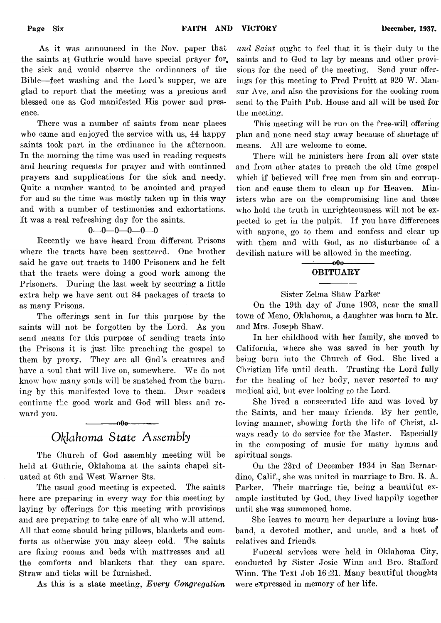As it was announced in the Nov. paper that the saints at Guthrie would have special prayer for. the sick and would observe the ordinances of the Bible— feet washing and the Lord's supper, we are glad to report that the meeting was a precious and blessed one as God manifested His power and presence.

There was a number of saints from near places who came and enjoyed the service with us, 44 happy saints took part in the ordinance in the afternoon. In the morning the time was used in reading requests and hearing requests for prayer and with continued prayers and supplications for the sick and needy. Quite a number wanted to be anointed and prayed for and so the time was mostly taken up in this way and with a number of testimonies and exhortations. It was a real refreshing day for the saints.

### $0 - 0 - 0 - 0 - 0$

Recently we have heard from different Prisons where the tracts have been scattered. One brother said he gave out tracts to 1400 Prisoners and he felt that the tracts were doing a good work among the Prisoners. During the last week by securing a little extra help we have sent out 84 packages of tracts to as many Prisons.

The offerings sent in for this purpose by the saints will not be forgotten by the Lord. As you send means for this purpose of sending tracts into the Prisons it is just like preaching the gospel to them by proxy. They are all God's creatures and have a soul that will live on, somewhere. We do not know how many souls will be snatched from the burning by this manifested love to them. Dear readers continue the good work and God will bless and reward you.

# *Oklahoma State Assembly*

 $-000-$ 

The Church of God assembly meeting will be held at Guthrie, Oklahoma at the saints chapel situated at 6th and West Warner Sts.

The usual good meeting is expected. The saints here are preparing in every way for this meeting by laying by offerings for this meeting with provisions and are preparing to take care of all who will attend. All that come should bring pillows, blankets and comforts as otherwise you may sleep cold. The saints are fixing rooms and beds with mattresses and all the comforts and blankets that they can spare. Straw and ticks will be furnished.

As this is a state meeting, *Every Congregation*

*and Saint* ought to feel that it is their duty to the saints and to God to lay by means and other provisions for the need of the meeting. Send your offerings for this meeting to Fred Pruitt at 920 W. Mansur Ave. and also the provisions for the cooking room send to the Faith Pub. House and all will be used for the meeting.

This meeting will be run on the free-will offering plan and none need stay away because of shortage of means. All are welcome to come.

There will be ministers here from all over state and from other states to preach the old time gospel which if believed will free men from sin and corruption and cause them to clean up for Heaven. Ministers who are on the compromising line and those who hold the truth in unrighteousness will not be expected to get in the pulpit. If you have differences with anyone, go to them and confess and clear up with them and with God, as no disturbance of a devilish nature will be allowed in the meeting.

### -000-OBITUARY

#### Sister Zelma Shaw Parker

On the 19th day of June 1903, near the small town of Meno, Oklahoma, a daughter was born to Mr. and Mrs. Joseph Shaw.

In her childhood with her family, she moved to California, where she was saved in her youth by being born into the Church of God. She lived a Christian life until death. Trusting the Lord fully for the healing of her body, never resorted to any medical aid, but ever looking to the Lord.

She lived a consecrated life and was loved by the Saints, and her many friends. By her gentle, loving manner, showing forth the life of Christ, always ready to do service for the Master. Especially in the composing of music for many hymns and spiritual songs.

On the 23rd of December 1934 in San Bernardino, Calif., she was united in marriage to Bro. R. A. Parker. Their marriage tie, being a beautiful example instituted by God, they lived happily together until she was summoned home.

She leaves to mourn her departure a loving husband, a devoted mother, and uncle, and a host of relatives and friends.

Funeral services were held in Oklahoma City, conducted by Sister Josie Winn and Bro. Stafford Winn. The Text Job 16 :21. Many beautiful thoughts were expressed in memory of her life.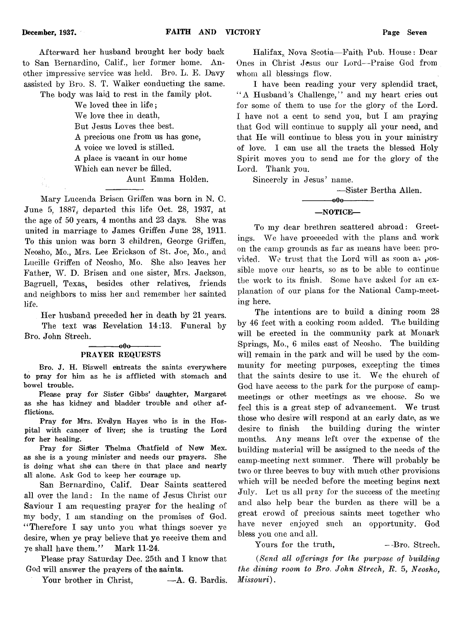Afterward her husband brought her body back to San Bernardino, Calif., her former home. Another impressive service was held. Bro. L. E. Davy assisted by Bro. S. T. Walker conducting the same.

The body was laid to rest in the family plot.

We loved thee in life ; We love thee in death, But Jesus Loves thee best. A precious one from us has gone, A voice we loved is stilled. A place is vacant in our home Which can never be filled. Aunt Emma Holden.

Mary Lucenda Brisen Griffen was born in N. C. June 5, 1887, departed this life Oct. 28, 1937, at the age of 50 years, 4 months and 23 days. She was united in marriage to James Griffen June 28, 1911. To this union was born 3 children, George Griffen, Neosho, Mo., Mrs. Lee Erickson of St. Joe, Mo., and Lucille Griffen of Neosho, Mo. She also leaves her Father, W. D. Brisen and one sister, Mrs. Jackson, Bagruell, Texas, besides other relatives, friends and neighbors to miss her and remember her sainted life.

Her husband preceded her in death by 21 years.

The text was Revelation 14:13. Funeral by Bro. John Strech.

 $-000-$ 

#### PRAYER REQUESTS

Bro. J. H. Biswell entreats the saints everywhere to pray for him as he is afflicted with stomach and bowel trouble.

Please pray for Sister Gibbs' daughter, Margaret as she has kidney and bladder trouble and other afflictions.

Pray for Mrs. Evelyn Hayes who is in the Hospital with cancer of liver); she is trusting the Lord for her healing.

Pray for Sister Thelma Chatfield of New Mex. as she is a young minister and needs our prayers. She is doing what she can there in that place and nearly all alone. Ask God to keep her courage up.

San Bernardino, Calif. Dear Saints scattered all over the land: In the name of Jesus Christ our Saviour I am requesting prayer for the healing of my body, I am standing on the promises of God. " Therefore I say unto you what things soever ye desire, when ye pray believe that ye receive them and ye shall have them." Mark 11-24.

Please pray Saturday Dec. 25th and I know that God will answer the prayers of the saints.

Your brother in Christ,  $-A. G.$  Bardis.

Halifax,, Nova Scotia— Faith Pub. House: Dear Ones in Christ Jesus our Lord— Praise God from whom all blessings flow.

I have been reading your very splendid tract, " A Husband's Challenge," and my heart cries out for some of them to use for the glory of the Lord. I have not a cent to send you, but I am praying that God will continue to supply all your need, and that He will continue to bless you in your ministry of love. I can use all the tracts the blessed Holy Spirit moves you to send me for the glory of the Lord. Thank you.

Sincerely in Jesus' name.

— Sister Bertha Allen. -000-—NOTICE—

To my dear brethren scattered abroad: Greetings. We have proceeded with the plans and work on the camp grounds as far as means have been provided. We trust that the Lord will as soon as  $\rho$ ossible move our hearts, so as to be able to continue the work to its finish. Some have asked for an explanation of our plans for the National Camp-meeting here.

The intentions are to build a dining room 28 by 46 feet with a cooking room added. The building will be erected in the community park at Monark Springs, Mo., 6 miles east of Neosho. The buildingwill remain in the park and will be used by the community for meeting purposes, excepting the times that the saints desire to use it. We the church of God have access to the park for the purpose of campmeetings or other meetings as we choose. So we feel this is a great step of advancement. We trust those who desire will respond at an early date, as we desire to finish the building during the winter months. Any means left over the expense of the building material will be assigned to the needs of the camp-meeting next summer. There will probably be two or three beeves to buy with much other provisions which will be needed before the meeting begins next July. Let us all pray for the success of the meeting and also help bear the burden as there will be a great crowd of precious saints meet together who have never enjoyed such an opportunity. God bless you one and all.

Yours for the truth,  $-$ -Bro. Strech.

*(Send all offerings for the purpose of building the dining room to Bro*. *John Strech, B.* 5, *Neosho*, *Missouri*) .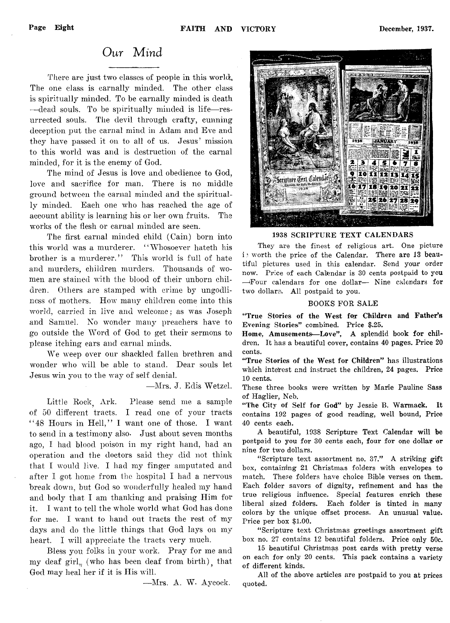# Our *Mind*

There are just two classes of people in this world, The one class is carnally minded. The other class is spiritually minded. To be carnally minded is death —dead souls. To be spiritually minded is life— resurrected souls. The devil through crafty, cunning deception put the carnal mind in Adam and Eve and they have passed it on to all of us. Jesus' mission to this world was and is destruction of the carnal minded, for it is the enemy of God.

The mind of Jesus is love and obedience to God, love and sacrifice for man. There is no middle ground between the carnal minded and the spiritually minded. Each one who has reached the age of account ability is learning his or her own fruits. The works of the flesh or carnal minded are seen.

The first carnal minded child (Cain) born into this world was a murderer. " Whosoever hateth his brother is a murderer." This world is full of hate and murders, children murders. Thousands of women are stained with the blood of their unborn children. Others are stamped with crime by ungodliness of mothers. How many children come into this world, carried in live and welcome; as was Joseph and Samuel. No wonder many preachers have to go outside the Word of God to get their sermons to please itching ears and carnal minds.

We weep over our shackled fallen brethren and wonder who will be able to stand. Dear souls let Jesus win you to the way of self denial.

— Mrs. J. Edis Wetzel.

Little Rock. Ark. Please send me a sample of 50 different tracts. I read one of your tracts " 48 Hours in Hell," I want one of those. I want to send in a testimony also- Just about seven months ago, I had blood poison in my right hand, had an operation and the doctors said they did not think that I would live. I had my finger amputated and after I got home from the hospital I had a nervous break down, but God so wonderfully healed my hand and body that I am thanking and praising Him for it. I want to tell the whole world what God has done for me. I want to hand out tracts the rest of my days and do the little things that God lays on my heart. I will appreciate the tracts very much.

Bless you folks in your work. Pray for me and my deaf girl, (who has been deaf from birth), that God may heal her if it is His will.

— Mrs. A. W- Aycock.

照性 1938 SCRIPTURE TEXT CALENDARS They are the finest of religious art. One picture

is worth the price of the Calendar. There are 13 beautiful pictures used in this calendar. Send your order now. Price of each Calendar is 30 cents postpaid to you —'Four calendars for one dollar— Nine calendars for two dollars. All postpaid to you.

#### BOOKS FOR SALE

"True Stories of the West for Children and Father's Evening Stories" combined. Price \$.25.

Home, Amusements—Love", A splendid book for children. It has a beautiful cover, contains 40 pages. Price 20 cents.

"True Stories of the West for Children" has illustrations which interest and instruct the children, 24 pages. Price 10 cents.

These three books were written by Marie Pauline Sass of Haglier, Neb.

"The City of Self for God" by Jessie B. Warmack. It contains 192 pages of good reading, well bound, Price 40 cents each.

A beautiful, 1938 Scripture Text Calendar will be postpaid to you for 30 cents each, four for one dollar or nine for two dollars.

" Scripture text assortment no. 37." A striking gift box, containing 21 Christmas folders with envelopes to match. These folders have choice Bible verses on them. Each folder savors of dignity, refinement and has the true religious influence. Special features enrich these liberal sized folders. Each folder is tinted in many colors by the unique offset process. An unusual value. Price per box \$1.00.

" Scripture text Christmas greetings assortment gift box no. 27 contains 12 beautiful folders. Price only 50c.

15 beautiful Christmas post cards with pretty verse on each for only 20 cents. This pack contains a variety of different kinds.

All of the above articles are postpaid to you at prices quoted.

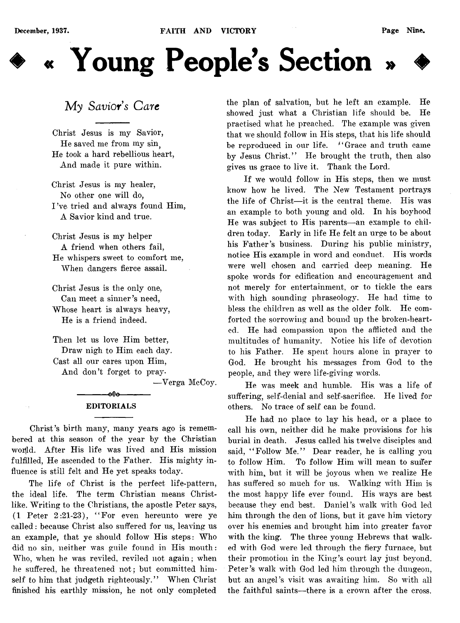

# My Savior's Care

Christ Jesus is my Savior, He saved me from my sin. He took a hard rebellious heart, And made it pure within.

Christ Jesus is my healer, No other one will do, I've tried and always found Him, A Savior kind and true.

Christ Jesus is my helper A friend when others fail, He whispers sweet to comfort me, When dangers fierce assail.

Christ Jesus is the only one, Can meet a sinner's need, Whose heart is always heavy, He is a friend indeed.

Then let us love Him better, Draw nigh to Him each day. Cast all our cares upon Him, And don't forget to pray-

— Verga McCoy.

### -000-EDITORIALS

Christ's birth many, many years ago is remembered at this season of the year by the Christian world. After His life was lived and His mission fulfilled, He ascended to the Father. His mighty influence is still felt and He yet speaks today.

The life of Christ is the perfect life-pattern, the ideal life. The term Christian means Christlike. Writing to the Christians, the apostle Peter says, (1 Peter 2:21-23), " For even hereunto were ye called: because Christ also suffered for us, leaving us an example, that ye should follow His steps: Who did no sin, neither was guile found in His mouth: Who, when he was reviled, reviled not again; when he suffered, he threatened not; but committed himself to him that judgeth righteously." When Christ finished his earthly mission, he not only completed the plan of salvation, but he left an example. He showed just what a Christian life should be. He practised what he preached. The example was given that we should follow in His steps, that his life should be reproduced in our life. "Grace and truth came by Jesus Christ." He brought the truth, then also gives us grace to live it. Thank the Lord.

If we would follow in His steps, then we must know how he lived. The New Testament portrays the life of Christ— it is the central theme. His was an example to both young and old. In his boyhood He was subject to His parents— an example to children today. Early in life He felt an urge to be about his Father's business. During his public ministry, notice His example in word and conduct. His words were well chosen and carried deep meaning. He spoke words for edification and encouragement and not merely for entertainment, or to tickle the ears with high sounding phraseology. He had time to bless the children as well as the older folk. He comforted the sorrowing and bound up the broken-hearted. He had compassion upon the afflicted and the multitudes of humanity. Notice his life of devotion to his Father. He spent hours alone in prayer to God. He brought his messages from God to the people, and they were life-giving words.

He was meek and humble. His was a life of suffering, self-denial and self-sacrifice. He lived for others. No trace of self can be found.

He had no place to lay his head, or a place to call his own, neither did he make provisions for his burial in death. Jesus called his twelve disciples and said, "Follow Me." Dear reader, he is calling you to follow Him. To follow Him will mean to suffer with him, but it will be joyous when we realize He has suffered so much for us. Walking with Him is the most happy life ever found. His ways are best because they end best. Daniel's walk with God led him through the den of lions, but it gave him victory over his enemies and brought him into greater favor with the king. The three young Hebrews that walked with God were led through the fiery furnace, but their promotion in the King's court lay just beyond. Peter's walk with God led him through the dungeon, but an angel's visit was awaiting him. So with all the faithful saints—there is a crown after the cross.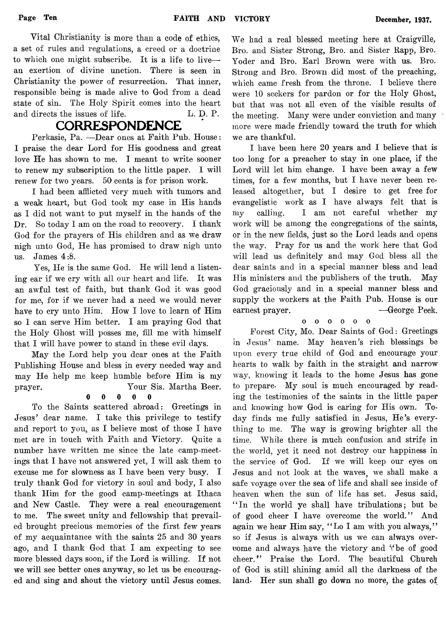Vital Christianity is more than a code of ethics, a set of rules and regulations, a creed or a doctrine to which one might subscribe. It is a life to live an exertion of divine unction. There is seen in Christianity the power of resurrection. That inner, responsible being is made alive to God from a dead state of sin. The Holy Spirit comes into the heart and directs the issues of life. L. D. P.

# **CORRESPONDENCE**

Perkasie, Pa. — Dear ones at Faith Pub. House: I praise the dear Lord for His goodness and great love He has shown to me. I meant to write sooner to renew my subscription to the little paper. I will renew for two years. 50 cents is for prison work.

I had been afflicted very much with tumors and a weak heart, but God took my case in His hands as I did not want to put myself in the hands of the Dr. So today I am on the road to recovery. I thank God for the prayers of His children and as we draw nigh unto God, He has promised to draw nigh unto us. James 4:8.

Yes, He is the same God. He will lend a listening ear if we cry with all our heart and life. It was an awful test of faith, but thank God it was good for me, for if we never had a need we would never have to cry unto Him. How I love to learn of Him so I can serve Him better. I am praying God that the Holy Ghost will posses me, fill me with himself that I will have power to stand in these evil days.

May the Lord help you dear ones at the Faith Publishing House and bless in every needed way and may He help me keep humble before Him is my prayer. Your Sis. Martha Beer.

### 0 0 0 0 0

To the Saints scattered abroad: Greetings in Jesus' dear name. I take this privilege to testify and report to you, as I believe most of those I have met are in touch with Faith and Victory. Quite a number have written me since the late camp-meetings that I have not answered yet, I will ask them to excuse me for slowness as I have been very busy. I truly thank God for victory in soul and body, I also thank Him for the good camp-meetings at Ithaca and New Castle. They were a real encouragement to me. The sweet unity and fellowship that prevailed brought precious memories of the first few years of my acquaintance with the saints 25 and 30 years ago, and I thank God that I am expecting to see more blessed days soon, if the Lord is willing. If not we will see better ones anyway, so let us be encouraged and sing and shout the victory until Jesus comes.

We had a real blessed meeting here at Craigville, Bro. and Sister Strong, Bro. and Sister Rapp, Bro. Yoder and Bro. Earl Brown were with us. Bro. Strong and Bro. Brown did most of the preaching, which came fresh from the throne. I believe there were 10 seekers for pardon or for the Holy Ghost, but that was not all even of the visible results of the meeting. Many were under conviction and many more were made friendly toward the truth for which we are thankful.

I have been here 20 years and I believe that is too long for a preacher to stay in one place, if the Lord will let him change. I have been away a few times, for a few months, but I have never been released altogether, but I desire to get free for evangelistic work as I have always felt that is my calling. I am not careful whether my work will be among the congregations of the saints, or in the new fields, just so the Lord leads and opens the way. Pray for us and the work here that God will lead us definitely and may God bless all the dear saints and in a special manner bless and lead His ministers and the publishers of the truth. May God graciously and in a special manner bless and supply the workers at the Faith Pub. House is our earnest prayer. — George Peek.

#### oooooo

Forest City, Mo. Dear Saints of God: Greetings in Jesus' name. May heaven's rich blessings be upon every true child of God and encourage your hearts to walk by faith in the straight and narrow way, knowing it leads to the home Jesus has gone to prepare. My soul is much encouraged by reading the testimonies of the saints in the little paper and knowing how God is caring for His own. Today finds me fully satisfied in Jesus, He's everything to me. The way is growing brighter all the time. While there is much confusion and strife in the world, yet it need not destroy our happiness in the service of God. If we will keep our eyes on Jesus and not look at the waves, we shall make a safe voyage over the sea of life and shall see inside of heaven when the sun of life has set. Jesus said, " In the world ye shall have tribulations; but be of good cheer I have overcome the world." And again we hear Him say, "Lo I am with you always," so if Jesus is always with us we can always overcome and always have the victory and "be of good cheer." Praise the Lord. The beautiful Church of God is still shining amid all the darkness of the land. Her sun shall go down no more, the gates of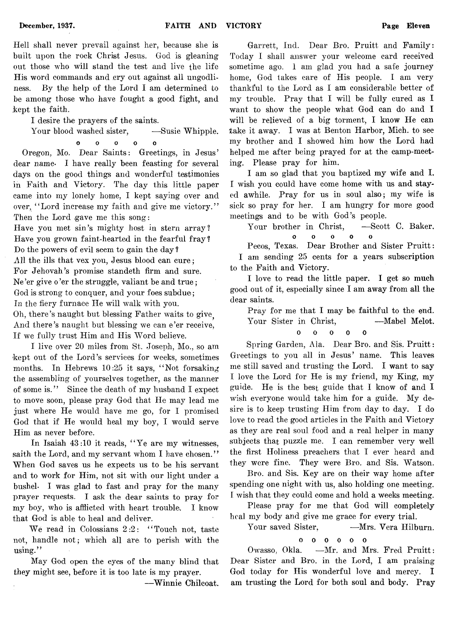Hell shall never prevail against her, because she is built upon the rock Christ Jesus. God is gleaning out those who will stand the test and live the life His word commands and cry out against all ungodliness. By the help of the Lord I am determined to be among those who have fought a good fight, and .kept the faith.

I desire the prayers of the saints.

Your blood washed sister,  $\qquad$ —Susie Whipple.

O 0 o o o

Oregon, Mo. Dear Saints: Greetings, in Jesus' dear name- I have really been feasting for several days on the good things and wonderful testimonies in Faith and Victory. The day this little paper came into my lonely home, I kept saying over and over, "Lord increase my faith and give me victory." Then the Lord gave me this song:

Have you met sin's mighty host in stern array? Have you grown faint-hearted in the fearful fray ? Do the powers of evil seem to gain the day ? All the ills that vex you, Jesus blood can cure; For Jehovah's promise standeth firm and sure. Ne 'er give o 'er the struggle, valiant be and true; God is strong to conquer, and your foes subdue; In the fiery furnace He will walk with you. Oh, there's naught but blessing Father waits to give. And there's naught but blessing we can e'er receive, If we fully trust Him and His Word believe.

I live over 20 miles from St. Joseph, Mo., so am kept out of the Lord's services for weeks, sometimes months. In Hebrews  $10:25$  it says, "Not forsaking the assembling of yourselves together, as the manner of some is." Since the death of my husband I expect to move soon, please pray God that He may lead me just where He would have me go, for I promised God that if He would heal my boy, I would serve Him as never before.

In Isaiah 43:10 it reads, " Ye are my witnesses, saith the Lord, and my servant whom I have chosen." When God saves us he expects us to be his servant and to work for Him, not sit with our light under a bushel- I was glad to fast and pray for the many prayer requests. I ask the dear saints to pray for my boy, who is afflicted with heart trouble. I know that God is able to heal and deliver.

We read in Colossians 2:2: "Touch not, taste not, handle not; which all are to perish with the using."

May God open the eyes of the many blind that they might see, before it is too late is my prayer.

— Winnie Chilcoat.

Garrett, Ind. Dear Bro. Pruitt and Family: Today I shall answer your welcome card received sometime ago. 1 am glad you had a safe journey home, God takes care of His people. I am very thankful to the Lord as I am considerable better of my trouble. Pray that I will be fully cured as I want to show the people what God can do and I will be relieved of a big torment, I know He can take it away. I was at Benton Harbor, Mich, to see mv brother and I showed him how the Lord had helped me after being prayed for at the camp-meeting. Please pray for him.

I am so glad that you baptized my wife and I. I wish you could have come home with us and stayed awhile. Pray for us in soul also; my wife is sick so pray for her. I am hungry for more good meetings and to be with God's people.

Your brother in Christ, -Scott C. Baker.  $\mathbf{a}$ ooooo

Pecos, Texas. Dear Brother and Sister Pruitt: I am sending 25 cents for a years subscription to the Faith and Victory.

I love to read the little paper. I get so much good out of it, especially since I am away from all the dear saints.

Pray for me that I may be faithful to the end. Your Sister in Christ, -Mabel Melot.

#### $\mathbf{o}$ ooooo

Spring Garden, Ala. Dear Bro. and Sis. Pruitt: Greetings to you all in Jesus' name. This leaves me still saved and trusting the Lord. I want to say I love the Lord for He is my friend, my King, my guide. He is the best guide that I know of and I wish everyone would take him for a guide. My desire is to keep trusting Him from day to day. I do love to read the good articles in the Faith and Victory as they are real soul food and a real helper in many subjects that puzzle me. I can remember very well the first Holiness preachers that I ever heard and they were fine. They were Bro. and Sis. Watson.

Bro. and Sis. Key are on their way home after spending one night with us, also holding one meeting. I wish that they could come and hold a weeks meeting.

Please pray for me that God will completely heal my body and give me grace for every trial.

Your saved Sister, **-Mrs. Vera Hilburn.** 

oooooo

Owasso, Okla. —Mr. and Mrs. Fred Pruitt: Dear Sister and Bro. in the Lord, I am praising God today for His wonderful love and mercy. I am trusting the Lord for both soul and body. Pray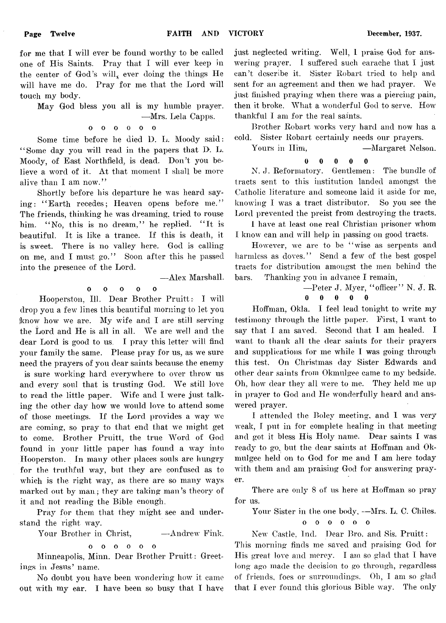for me that I will ever be found worthy to be called one of His Saints. Pray that I will ever keep in the center of God's will, ever doing the things He will have me do. Pray for me that the Lord will touch my body.

May God bless you all is my humble prayer.

— Mrs. Lela Capps,

$$
\begin{matrix}0&0&0&0&0&0\end{matrix}
$$

Some time before he died D. L. Moody said: " Some day you will read in the papers that D. L. Moody, of East Northfield, is dead. Don't you believe a word of it. At that moment T shall be more alive than I am now."

Shortly before his departure he was heard saying: "Earth recedes; Heaven opens before me." The friends, thinking he was dreaming, tried to rouse him. "No, this is no dream," he replied. "It is beautiful. It is like a trance. If this is death, it is sweet. There is no valley here. God is calling on me, and I must go." Soon after this he passed into the presence of the Lord.

— Alex Marshall.

#### 0 0 0 0 0

Hooperston, 111. Dear Brother Pruitt: I will drop you a few lines this beautiful morning to let you jknow how we are. My wife and I are still serving the Lord and He is all in all. We are well and the dear Lord is good to us. I pray this letter will find your family the same. Please pray for us, as we sure need the prayers of you dear saints because the enemy is sure working hard everywhere to over throw us and every soul that is trusting God. We still love to read the little paper. Wife and I were just talking the other day how we would love to attend some of those meetings. If the Lord provides a way we are coming, so pray to that end that we might get to come. Brother Pruitt, the true Word of God found in your little paper has found a way into Hooperston. In many other places souls are hungry for the truthful way, but they are confused as to which is the right way, as there are so many ways marked out by man; they are taking man's theory of it and not reading the Bible enough.

Pray for them that they might see and understand the right way.

Your Brother in Christ,  $-$ Andrew Fink.

oooooo  $\mathbf{o}$ 

Minneapolis, Minn. Dear Brother Pruitt: Greetings in Jesus' name.

No doubt you have been wondering how it came out with my ear. I have been so busy that I have just neglected writing. Well, I praise God for answering prayer. I suffered such earache that I just can't describe it. Sister Robart tried to help and sent for an agreement and then we had prayer. We just finished praying when there was a piercing pain, then it broke. What a wonderful God to serve. How thankful I am for the real saints.

Brother Robart works very hard and now has a cold. Sister Robart certainly needs our prayers.

Yours in Him,  $\qquad \qquad - \text{Margaret Nelson.}$ 

$$
0\qquad 0\qquad 0\qquad 0\qquad 0
$$

N. J. Reformatory. Gentlemen: The bundle of tracts sent to this institution landed amongst the Catholic literature and someone laid it aside for me, knowing I was a tract distributor. So you see the Lord prevented the preist from destroying the tracts.

I have at least one real Christian prisoner whom I know can and will help in passing on good tracts.

However, we are to be "wise as serpents and harmless as doves." Send a few of the best gospel tracts for distribution amongst the men behind the bars. Thanking you in advance I remain,

—Peter J. Myer, "officer" N. J. R.

0 0 0 0 0

Hoffman, Okla. I feel lead tonight to write my testimony through the little paper. First, I want to say that I am saved. Second that I am healed. I want to thank all the dear saints for their prayers and supplications for me while I was going through this test. On Christmas day Sister Edwards and other dear saints from Okmulgee came to my bedside. Oh, how dear they all were to me. They held me up in prayer to God and He wonderfully heard and answered prayer.

I attended the Bolev meeting, and I was very weak, I put in for complete healing in that meeting and got it bless His Holy name. Dear saints I was ready to go, but the dear saints at Hoffman and Okmulgee held on to God for me and I am here today with them and am praising God for answering prayer.

There are only 8 of us here at Hoffman so pray for us.

Your Sister in the one body, --Mrs. L. C. Chiles.

oooooo

New Castle, Ind. Dear Bro. and Sis. Pruitt: This morning finds me saved and praising God for His great love and mercy. I am so glad that I have long ago made the decision to go through, regardless of friends, foes or surroundings. Oh, I am so glad that I ever found this glorious Bible way. The only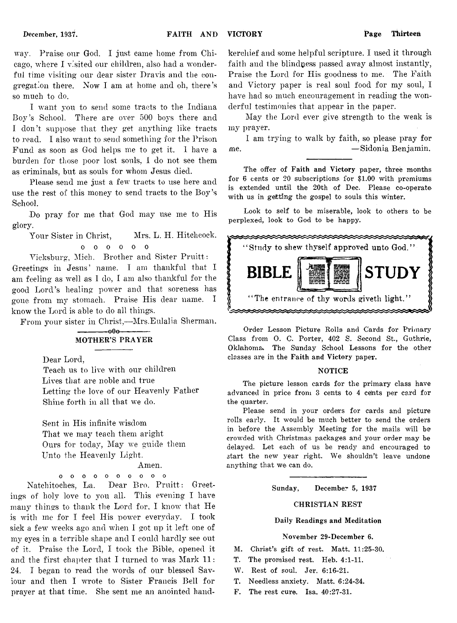way. Praise our God. I just came home from Chicago, where I visited our children, also had a wonderful time visiting our dear sister Dravis and the congregation there. Now I am at home and oh, there's so much to do.

I want you to send some tracts to the Indiana Boy's School. There are over 500 boys there and I don't suppose that they get anything like tracts to read. I also want to send something for the Prison Fund as soon as God helps me to get it. 1 have a burden for those poor lost souls, I do not see them as criminals, but as souls for whom Jesus died.

Please send me just a few tracts to use here and use the rest of this money to send tracts to the Boy's School.

Do pray for me that God may use me to His glory.

Your Sister in Christ. Mrs. L. H. Hitchcock. oooooo

Vicksburg, Mich. Brother and Sister Pruitt :

Greetings in Jesus' name. I am thankful that I am feeling as well as I do, I am also thankful for the good Lord's healing power and that soreness has gone from my stomach. Praise His dear name. I know the Lord is able to do all things.

From your sister in Christ,— Mrs.Eulalia Sherman.

#### $-000-$ MOTHER'S PRAYER

Dear Lord,

Teach us to live with our children Lives that are noble and true Letting the love of our Heavenly Father Shine forth in all that we do.

Sent in His infinite wisdom That we may teach them aright Ours for today, May we guide them Unto the Heavenly Light.

#### Amen.

**oooooooooo**

Natchitoches, La. Dear Bro. Pruitt: Greetings of holy love to you all. This evening I have many things to thank the Lord for, I know that He is with me for I feel His power everyday. I took sick a few weeks ago and when I got up it left one of my eyes in a terrible shape and I could hardly see out of it. Praise the Lord, I took the Bible, opened it and the first chapter that I turned to was Mark 11: 24. I began to read the words of our blessed Saviour and then I wrote to Sister Francis Bell for prayer at that time. She sent me an anointed handkerchief and some helpful scripture. I used it through faith and the blindness passed away almost instantly, Praise the Lord for His goodness to me. The Faith and Victory paper is real soul food for my soul, I have had so much encouragement in reading the wonderful testimonies that appear in the paper.

May the Lord ever give strength to the weak is my prayer.

I am trying to walk by faith, so please pray for me. — Sidonia Benjamin.

The offer of Faith and Victory paper, three months for 6 cents or 20 subscriptions for \$1.00 with premiums is extended until the 20th of Dec. Please co-operate with us in getting the gospel to souls this winter.

Look to self to be miserable, look to others to be perplexed, look to God to be happy.



Order Lesson Picture Rolls and Cards for Primary Class from O. C. Porter, 402 S. Second St., Guthrie, Oklahoma.. The Sunday School Lessons for the other classes are in the Faith and Victory paper.

#### **NOTICE**

The picture lesson cards for the primary class have advanced in price from 3 cents to 4 ceints per card for the quarter.

Please send in your orders for cards and picture rolls early. It would be much better to send the orders in before the Assembly Meeting for the mails will be crowded with Christmas packages and your order may be delayed. Let each of us be ready and encouraged to start the new year right. We shouldn't leave undone anything that we can do.

Sunday, December 5, 1937

#### CHRISTIAN REST

#### Daily Readings and Meditation

#### November 29-December 6.

- M. Christ's gift of rest. Matt. 11:25-30.
- T. The promised rest. Heb. 4:1-11.
- W. Rest of soul. Jer. 6:16-21.
- T. Needless anxiety. Matt. 6:24-34.
- F. The rest cure. Isa. 40:27-31.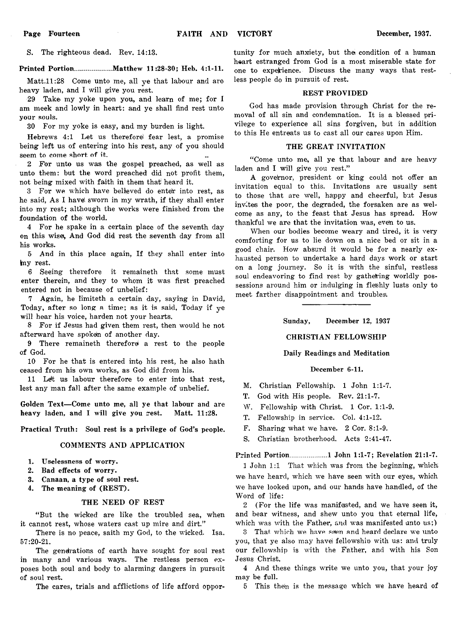S. The righteous dead. Rev. 14:13.

#### Printed Portion.................. Matthew 11:28-30; Heb. 4:1-11.

Matt.ll:28 Come unto me, all ye that labour and are heavy laden, and I will give you rest.

29 Take my yoke upon you,, and learn of me; for I am meek and lowly in heart: and ye shall find rest unto your souls.

30 For my yoke is easy, and my burden is light.

Hebrews 4:1 Let us therefore! fear lest, a promise being left us of entering into his rest, any of you should seem to come short of it.

2 For unto us was the gospel preached, as well as unto them: but the word preached did not profit them, not being mixed with faith in them that heard it.

3 For we which have believed do enter into rest, as he said, As I have! sworn in my wrath, if they shall enter into my rest; although the works were finished from the foundation of the world.

4 For he spake in a certain place of the seventh day on this wise, And God did rest the seventh day from all his works.

5 And in this place again, If they shall enter into kny rest.

6 Seeing therefore it remaineth that some must enter therein, and they to whom it was first preached entered not in because of unbelief:

7 Again, he Iimiteth a certain day, saying in David, Today, after so long a time; as it is said, Today if  $ve$ will hear his voice, harden not your hearts.

8 For if Jesus had given them rest, then would he not afterward have spoken of another day.

9 There remaineth therefore! a rest to the people of God.

10 For he that is entered into his rest, he also hath ceased from his own works, as God did from his.

11 Ldt us labour therefore to enter into that rest, lest any man fall after the same example of unbelief.

Golden Text— Come unto me, all ye that labour and are heavy laden, and I will give you rest. Matt. 11:28.

Practical Truth: Soul rest is a privilege of God's people.

#### COMMENTS AND APPLICATION

- 1. Uselessness of worry.
- 2. Bad effects of worry.
- 3. Canaan, a type of soul rest.
- 4. The meaning of (REST).

#### THE NEED OF REST

" But the wicked are like the troubled sea, when it cannot rest, whose waters cast up mire and dirt.'

There is no peace, saith my God, to the wicked. Isa. 57:20-21.

The generations of earth have sought for soul rest in many and various ways. The restless person exposes both soul and body to alarming dangers in pursuit of soul rest.

The cares, trials and afflictions of life afford oppor-

tunity for much anxiety, but the condition of a human heart estranged from God is a most miserable state for one to experience. Discuss the many ways that restless people do in pursuit of rest.

#### REST PROVIDED

God has made provision through Christ for the removal of all sin and condemnation. It is a blessed privilege to experience all sins forgiven, but in addition to this He entreats us to cast all our cares upon Him.

#### THE GREAT INVITATION

"Come unto me, all ye that labour and are heavy laden and I will give you rest."

A governor, president or king could not offer an invitation equal to this. Invitations are usually sent to those that are well, happy and cheerful, but Jesus invites the poor, the degraded, the forsaken are as welcome as any, to the feast that Jesus has spread. How thankful we are that the invitation was, even to us.

When our bodies become weary and tired, it is very comforting for us to lie down on a nice bed or sit in a good chair. How absurd it would be for a nearly exhausted person to undertake a hard days work or start on a long journey. So it is with the sinful, restless soul endeavoring to find rest by gathering worldly possessions around him or indulging in fleshly lusts only to meet farther disappointment and troubles'.

Sunday, December 12, 1937

#### CHRISTIAN FELLOWSHIP

#### Daily Readings and Meditation

#### December 6-11.

M. Christian Fellowship. 1 John 1:1-7.

- T. God with His people. Rev. 21:1-7.
- W. Fellowship with Christ. 1 Cor. 1:1-9.
- T. Fellowship in service. Col. 4:1-12.
- F. Sharing what we have. 2 Cor. 8:1-9.
- S. Christian brotherhood. Acts 2:41-47.

Printed Portion..................1 John 1:1-7; Revelation 21:1-7.

1 John 1:1 That which was from the beginning, which we have heard, which we have seen with our eyes, which we have looked upon, and our hands have handled, of the Word of life,:

2 (For the life was manifested, and we have seen it, and bear witness, and shew unto you that eternal life, which was with the Father, and was manifested unto us;)

3 That which we have seen and heard declare we unto you, that ye also may havel fellowship) with us: and truly our fellowship is with the Father, and with his Son Jesus Christ.

4 And these things write we unto you, that your joy may be full.

5 This then is the message which we have heard of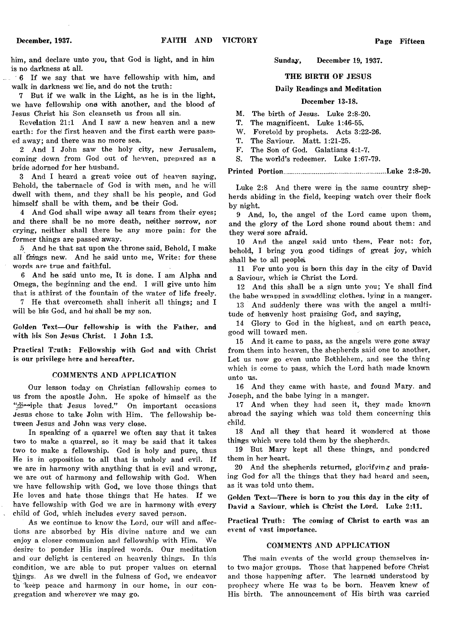him, and declare unto you, that God is light, and in him is no darkness at all.

6 If we say that we have fellowship with him, and walk in darkness we lie, and do not the truth:

7 But if we walk in the Light, as he is in the light, we have fellowship one with another, and the blood of Jesus Christ his Son cleanseth us from all sin.

Revelation 21:1 And I saw a new heaven and a new earth: for the first heaven and the first earth were passed away; and there was no more sea.

2 And I John saw the holy city, new Jerusalem, coming down from God out of heaven, prepared as a bride adorned for her husband.

3 And I heard a great voice out of heaven saying, Behold, the tabernacle of God is with mem, and he will dwell with them, and they shall be his people, and God himself shall be with them, and be their God.

4 And God shall wipe away all tears from their eyes; and there shall be no more death, neither sorrow, nor crying, neither shall there be any more pain: for the former things are passed away.

5 And he that sat upon the throne said, Behold, I make all things new. And he said unto me, Write: for these words are true and faithful.

6 And he said unto me, It is done. I am Alpha and Omega, the beginning and the end. I will give unto him that is athirst of the fountain of the water of life freely.

7 He that overcometh shall inherit all things; and I will be his God, and hel shall be my son.

Golden Text—Our fellowship is with the Father, and with his Son Jesus Christ. 1 John 1:3.

Practical Truth: Fellowship with God and with Christ is our privilege here and hereafter.

#### COMMENTS AND APPLICATION

Our lesson today on Christian fellowship comes to us from the apostle John. He spoke of himself as the "digasiple that Jesus loved." On important occasions Jesus chose to take John with Him. The fellowship between Jesus and John was very close.

In speaking of a quarrel we often say that it takes two to make a quarrel, so it may be said that it takes two to make a fellowship. God is holy and pure, thus He is in opposition to all that is unholy and evil. If we are in harmony with anything that is evil and wrong, we are out of harmony and fellowship with God. When we have fellowship with God, we love those things that He loves and hate those things that He hates, If we have fellowship with God we are in harmony with every child of God, which includes every saved person.

As we continue to know the Lord, our will and affections are absorbed by His divine nature and we can enjoy a closer communion and fellowship with Him. We desire to ponder His inspired words. Our meditation and our delight is centered on heavenly things. In this condition, we are able to put proper values on eternal things. As we dwell in the fulness of God, we endeavor to keep peace and harmony in our home, in our congregation and wherever we may go.

#### Sunday, December 19, 1937.

#### THE BIRTH OF JESUS

#### Daily Readings and Meditation

#### December 13-18.

M. The birth of Jesus. Luke 2:8-20.

T. The magnificent. Luke 1:46-55.

W. Foretold by prophets. Acts 3:22-26.

T. The Saviour. Matt. 1:21-25.

F. The Son of God. Galatians 4:1-7.

S. The world's redeemer. Luke 1:67-79.

Printed Portion.................................................. Luke 2:8-20.

Luke 2:8 And there were in the same country shepherds abiding in the field, keeping watch over their flock by night.

9 And, lo, the angel of the Lord came upon them, and the glory of the Lord shone round about them: and they were sore afraid.

10 And the angel said unto them, Fear not: for, behold, I bring you good tidings of great joy, which shall be to all people.

11 For unto you is born this day in the city of David a Saviour, which is Christ the Lord.

12 And this shall be a sign unto you; Ye shall find the babe wrapped in swaddling clothes, lying in a manger.

13 And suddenly there was with the angel a multitude of heavenly host praising God, and saying,

14 Glory to God in the highest, and on earth peace, good will toward men.

15 And it came to pass, as the angels were gone away from them into heaven, the shepherds said one to another, Let us now go even unto Bethlehem, and see the thing which is comei to pass, which the Lord hath made known unto us.

16 And they came with haste, and found Mary, and Joseph, and the babe lying in a manger.

17 And when they had seen it, they made known abroad the saying which was told them concerning this child.

18 And all they that heard it wondered at those things which were told them by the shepherds.

19 But Mary kept all these things, and pondered them in her heart.

20 And the shepherds returned, glorifying and praising God for all the things that they had heard and seen, as it was told unto them.

Golden Text—There is born to you this day in the city of David a Saviour, which is Christ the Lord. Luke 2:11.

Practical Truth: The coming of Christ to earth was an event of vast importance.

#### COMMENTS AND APPLICATION

The main events of the world group themselves into two major groups. Those that happened before Christ and those happening after. The learned understood by prophecy where He was to be bora. Heaven knew of His birth. The announcement of His birth was carried